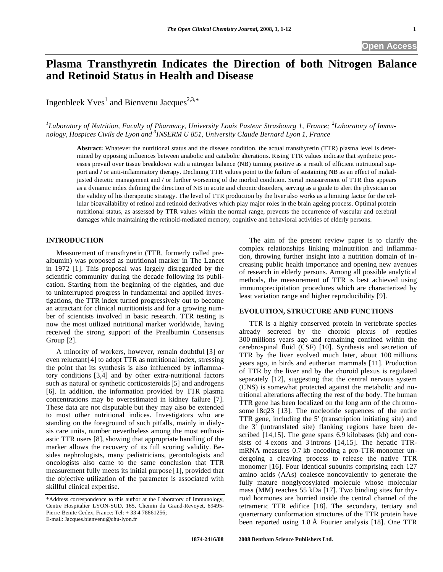# **Plasma Transthyretin Indicates the Direction of both Nitrogen Balance and Retinoid Status in Health and Disease**

Ingenbleek  $Yves^1$  and Bienvenu Jacques<sup>2,3,\*</sup>

<sup>1</sup>Laboratory of Nutrition, Faculty of Pharmacy, University Louis Pasteur Strasbourg 1, France; <sup>2</sup>Laboratory of Immu*nology, Hospices Civils de Lyon and 3 INSERM U 851, University Claude Bernard Lyon 1, France* 

**Abstract:** Whatever the nutritional status and the disease condition, the actual transthyretin (TTR) plasma level is determined by opposing influences between anabolic and catabolic alterations. Rising TTR values indicate that synthetic processes prevail over tissue breakdown with a nitrogen balance (NB) turning positive as a result of efficient nutritional support and */* or anti-inflammatory therapy. Declining TTR values point to the failure of sustaining NB as an effect of maladjusted dietetic management and **/** or further worsening of the morbid condition. Serial measurement of TTR thus appears as a dynamic index defining the direction of NB in acute and chronic disorders, serving as a guide to alert the physician on the validity of his therapeutic strategy. The level of TTR production by the liver also works as a limiting factor for the cellular bioavailability of retinol and retinoid derivatives which play major roles in the brain ageing process. Optimal protein nutritional status, as assessed by TTR values within the normal range, prevents the occurrence of vascular and cerebral damages while maintaining the retinoid-mediated memory, cognitive and behavioral activities of elderly persons.

#### **INTRODUCTION**

 Measurement of transthyretin (TTR, formerly called prealbumin) was proposed as nutritional marker in The Lancet in 1972 [1]. This proposal was largely disregarded by the scientific community during the decade following its publication. Starting from the beginning of the eighties, and due to uninterrupted progress in fundamental and applied investigations, the TTR index turned progressively out to become an attractant for clinical nutritionists and for a growing number of scientists involved in basic research. TTR testing is now the most utilized nutritional marker worldwide, having received the strong support of the Prealbumin Consensus Group [2].

 A minority of workers, however, remain doubtful [3] or even reluctant[4] to adopt TTR as nutritional index, stressing the point that its synthesis is also influenced by inflammatory conditions [3,4] and by other extra-nutritional factors such as natural or synthetic corticosteroids [5] and androgens [6]. In addition, the information provided by TTR plasma concentrations may be overestimated in kidney failure [7]. These data are not disputable but they may also be extended to most other nutritional indices. Investigators who are standing on the foreground of such pitfalls, mainly in dialysis care units, number nevertheless among the most enthusiastic TTR users [8], showing that appropriate handling of the marker allows the recovery of its full scoring validity. Besides nephrologists, many pediatricians, gerontologists and oncologists also came to the same conclusion that TTR measurement fully meets its initial purpose [1], provided that the objective utilization of the parameter is associated with skillful clinical expertise.

 The aim of the present review paper is to clarify the complex relationships linking malnutrition and inflammation, throwing further insight into a nutrition domain of increasing public health importance and opening new avenues of research in elderly persons. Among all possible analytical methods, the measurement of TTR is best achieved using immunoprecipitation procedures which are characterized by least variation range and higher reproducibility [9].

## **EVOLUTION, STRUCTURE AND FUNCTIONS**

 TTR is a highly conserved protein in vertebrate species already secreted by the choroid plexus of reptiles 300 millions years ago and remaining confined within the cerebrospinal fluid (CSF) [10]. Synthesis and secretion of TTR by the liver evolved much later, about 100 millions years ago, in birds and eutherian mammals [11]. Production of TTR by the liver and by the choroid plexus is regulated separately [12], suggesting that the central nervous system (CNS) is somewhat protected against the metabolic and nutritional alterations affecting the rest of the body. The human TTR gene has been localized on the long arm of the chromosome 18q23 [13]. The nucleotide sequences of the entire TTR gene, including the 5' (transcription initiating site) and the 3' (untranslated site) flanking regions have been described [14,15]. The gene spans 6.9 kilobases (kb) and consists of 4 exons and 3 introns [14,15]. The hepatic TTRmRNA measures 0.7 kb encoding a pro-TTR-monomer undergoing a cleaving process to release the native TTR monomer [16]. Four identical subunits comprising each 127 amino acids (AAs) coalesce noncovalently to generate the fully mature nonglycosylated molecule whose molecular mass (MM) reaches 55 kDa [17]. Two binding sites for thyroid hormones are burried inside the central channel of the tetrameric TTR edifice [18]. The secondary, tertiary and quarternary conformation structures of the TTR protein have been reported using 1.8 Å Fourier analysis [18]. One TTR

<sup>\*</sup>Address correspondence to this author at the Laboratory of Immunology, Centre Hospitalier LYON-SUD, 165, Chemin du Grand-Revoyet, 69495- Pierre-Benite Cedex, France; Tel: + 33 4 78861256; E-mail: Jacques.bienvenu@chu-lyon.fr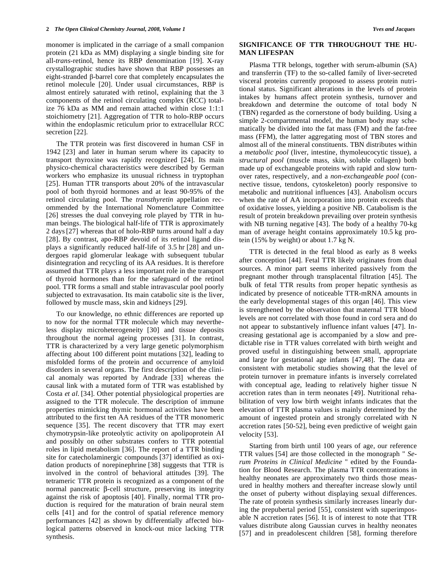monomer is implicated in the carriage of a small companion protein (21 kDa as MM) displaying a single binding site for all-*trans*-retinol, hence its RBP denomination [19]. X-ray crystallographic studies have shown that RBP possesses an eight-stranded  $\beta$ -barrel core that completely encapsulates the retinol molecule [20]. Under usual circumstances, RBP is almost entirely saturated with retinol, explaining that the 3 components of the retinol circulating complex (RCC) totalize 76 kDa as MM and remain attached within close 1:1:1 stoichiometry [21]. Aggregation of TTR to holo-RBP occurs within the endoplasmic reticulum prior to extracellular RCC secretion [22].

 The TTR protein was first discovered in human CSF in 1942 [23] and later in human serum where its capacity to transport thyroxine was rapidly recognized [24]. Its main physico-chemical characteristics were described by German workers who emphasize its unusual richness in tryptophan [25]. Human TTR transports about 20% of the intravascular pool of both thyroid hormones and at least 90-95% of the retinol circulating pool. The *transthyretin* appellation recommended by the International Nomenclature Committee [26] stresses the dual conveying role played by TTR in human beings. The biological half-life of TTR is approximately 2 days[27] whereas that of holo-RBP turns around half a day [28]. By contrast, apo-RBP devoid of its retinol ligand displays a significantly reduced half-life of 3.5 hr [28] and undergoes rapid glomerular leakage with subsequent tubular disintegration and recycling of its AA residues. It is therefore assumed that TTR plays a less important role in the transport of thyroid hormones than for the safeguard of the retinol pool. TTR forms a small and stable intravascular pool poorly subjected to extravasation. Its main catabolic site is the liver, followed by muscle mass, skin and kidneys [29].

 To our knowledge, no ethnic differences are reported up to now for the normal TTR molecule which may nevertheless display microheterogeneity [30] and tissue deposits throughout the normal ageing processes [31]. In contrast, TTR is characterized by a very large genetic polymorphism affecting about 100 different point mutations [32], leading to misfolded forms of the protein and occurrence of amyloid disorders in several organs. The first description of the clinical anomaly was reported by Andrade [33] whereas the causal link with a mutated form of TTR was established by Costa *et al*. [34]. Other potential physiological properties are assigned to the TTR molecule. The description of immune properties mimicking thymic hormonal activities have been attributed to the first ten AA residues of the TTR monomeric sequence [35]. The recent discovery that TTR may exert chymotrypsin-like proteolytic activity on apolipoprotein AI and possibly on other substrates confers to TTR potential roles in lipid metabolism [36]. The report of a TTR binding site for catecholaminergic compounds [37] identified as oxidation products of norepinephrine [38] suggests that TTR is involved in the control of behavioral attitudes [39]. The tetrameric TTR protein is recognized as a component of the normal pancreatic  $\beta$ -cell structure, preserving its integrity against the risk of apoptosis [40]. Finally, normal TTR production is required for the maturation of brain neural stem cells [41] and for the control of spatial reference memory performances [42] as shown by differentially affected biological patterns observed in knock-out mice lacking TTR synthesis.

#### **SIGNIFICANCE OF TTR THROUGHOUT THE HU-MAN LIFESPAN**

 Plasma TTR belongs, together with serum-albumin (SA) and transferrin (TF) to the so-called family of liver-secreted visceral proteins currently proposed to assess protein nutritional status. Significant alterations in the levels of protein intakes by humans affect protein synthesis, turnover and breakdown and determine the outcome of total body N (TBN) regarded as the cornerstone of body building. Using a simple 2-compartmental model, the human body may schematically be divided into the fat mass (FM) and the fat-free mass (FFM), the latter aggregating most of TBN stores and almost all of the mineral constituents. TBN distributes within a *metabolic pool* (liver, intestine, thymoleucocytic tissue), a *structural pool* (muscle mass, skin, soluble collagen) both made up of exchangeable proteins with rapid and slow turnover rates, respectively, and a *non-exchangeable pool* (connective tissue, tendons, cytoskeleton) poorly responsive to metabolic and nutritional influences [43]. Anabolism occurs when the rate of AA incorporation into protein exceeds that of oxidative losses, yielding a positive NB. Catabolism is the result of protein breakdown prevailing over protein synthesis with NB turning negative [43]. The body of a healthy 70-kg man of average height contains approximately 10.5 kg protein (15% by weight) or about 1.7 kg N.

 TTR is detected in the fetal blood as early as 8 weeks after conception [44]. Fetal TTR likely originates from dual sources. A minor part seems inherited passively from the pregnant mother through transplacental filtration [45]. The bulk of fetal TTR results from proper hepatic synthesis as indicated by presence of noticeable TTR-mRNA amounts in the early developmental stages of this organ [46]. This view is strengthened by the observation that maternal TTR blood levels are not correlated with those found in cord sera and do not appear to substantively influence infant values [47]. Increasing gestational age is accompanied by a slow and predictable rise in TTR values correlated with birth weight and proved useful in distinguishing between small, appropriate and large for gestational age infants [47,48]. The data are consistent with metabolic studies showing that the level of protein turnover in premature infants is inversely correlated with conceptual age, leading to relatively higher tissue N accretion rates than in term neonates [49]. Nutritional rehabilitation of very low birth weight infants indicates that the elevation of TTR plasma values is mainly determined by the amount of ingested protein and strongly correlated with N accretion rates [50-52], being even predictive of weight gain velocity [53].

 Starting from birth until 100 years of age, our reference TTR values [54] are those collected in the monograph " *Serum Proteins in Clinical Medicine* " edited by the Foundation for Blood Research. The plasma TTR concentrations in healthy neonates are approximately two thirds those measured in healthy mothers and thereafter increase slowly until the onset of puberty without displaying sexual differences. The rate of protein synthesis similarly increases linearly during the prepubertal period [55], consistent with superimposable N accretion rates [56]. It is of interest to note that TTR values distribute along Gaussian curves in healthy neonates [57] and in preadolescent children [58], forming therefore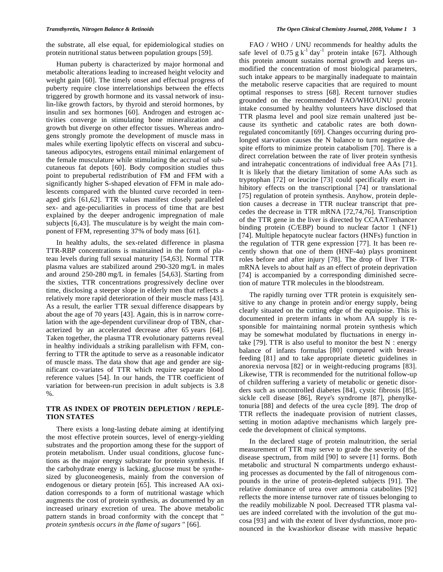the substrate, all else equal, for epidemiological studies on protein nutritional status between population groups [59].

 Human puberty is characterized by major hormonal and metabolic alterations leading to increased height velocity and weight gain [60]. The timely onset and effectual progress of puberty require close interrelationships between the effects triggered by growth hormone and its vassal network of insulin-like growth factors, by thyroid and steroid hormones, by insulin and sex hormones [60]. Androgen and estrogen activities converge in stimulating bone mineralization and growth but diverge on other effector tissues. Whereas androgens strongly promote the development of muscle mass in males while exerting lipolytic effects on visceral and subcutaneous adipocytes, estrogens entail minimal enlargement of the female musculature while stimulating the accrual of subcutaneous fat depots [60]. Body composition studies thus point to prepubertal redistribution of FM and FFM with a significantly higher S-shaped elevation of FFM in male adolescents compared with the blunted curve recorded in teenaged girls [61,62]. TTR values manifest closely paralleled sex- and age-peculiarities in process of time that are best explained by the deeper androgenic impregnation of male subjects [6,43]. The musculature is by weight the main component of FFM, representing 37% of body mass [61].

 In healthy adults, the sex-related difference in plasma TTR-RBP concentrations is maintained in the form of plateau levels during full sexual maturity [54,63]. Normal TTR plasma values are stabilized around 290-320 mg/L in males and around 250-280 mg/L in females [54,63]. Starting from the sixties, TTR concentrations progressively decline over time, disclosing a steeper slope in elderly men that reflects a relatively more rapid deterioration of their muscle mass [43]. As a result, the earlier TTR sexual difference disappears by about the age of 70 years [43]. Again, this is in narrow correlation with the age-dependent curvilinear drop of TBN, characterized by an accelerated decrease after 65 years [64]. Taken together, the plasma TTR evolutionary patterns reveal in healthy individuals a striking parallelism with FFM, conferring to TTR the aptitude to serve as a reasonable indicator of muscle mass. The data show that age and gender are significant co-variates of TTR which require separate blood reference values [54]. In our hands, the TTR coefficient of variation for between-run precision in adult subjects is 3.8 %.

### **TTR AS INDEX OF PROTEIN DEPLETION / REPLE-TION STATES**

 There exists a long-lasting debate aiming at identifying the most effective protein sources, level of energy-yielding substrates and the proportion among these for the support of protein metabolism. Under usual conditions, glucose functions as the major energy substrate for protein synthesis. If the carbohydrate energy is lacking, glucose must be synthesized by gluconeogenesis, mainly from the conversion of endogenous or dietary protein [65]. This increased AA oxidation corresponds to a form of nutritional wastage which augments the cost of protein synthesis, as documented by an increased urinary excretion of urea. The above metabolic pattern stands in broad conformity with the concept that " *protein synthesis occurs in the flame of sugars* " [66].

 FAO / WHO / UNU recommends for healthy adults the safe level of  $0.75$  g  $k^{-1}$  day<sup>-1</sup> protein intake [67]. Although this protein amount sustains normal growth and keeps unmodified the concentration of most biological parameters, such intake appears to be marginally inadequate to maintain the metabolic reserve capacities that are required to mount optimal responses to stress [68]. Recent turnover studies grounded on the recommended FAO/WHO/UNU protein intake consumed by healthy volunteers have disclosed that TTR plasma level and pool size remain unaltered just because its synthetic and catabolic rates are both downregulated concomitantly [69]. Changes occurring during prolonged starvation causes the N balance to turn negative despite efforts to minimize protein catabolism [70]. There is a direct correlation between the rate of liver protein synthesis and intrahepatic concentrations of individual free AAs [71]. It is likely that the dietary limitation of some AAs such as tryptophan [72] or leucine [73] could specifically exert inhibitory effects on the transcriptional [74] or translational [75] regulation of protein synthesis. Anyhow, protein depletion causes a decrease in TTR nuclear transcript that precedes the decrease in TTR mRNA [72,74,76]. Transcription of the TTR gene in the liver is directed by CCAAT/enhancer binding protein (C/EBP) bound to nuclear factor 1 (NF1) [74]. Multiple hepatocyte nuclear factors (HNFs) function in the regulation of TTR gene expression [77]. It has been recently shown that one of them  $(HNF-4\alpha)$  plays prominent roles before and after injury [78]. The drop of liver TTRmRNA levels to about half as an effect of protein deprivation [74] is accompanied by a corresponding diminished secretion of mature TTR molecules in the bloodstream.

 The rapidly turning over TTR protein is exquisitely sensitive to any change in protein and/or energy supply, being clearly situated on the cutting edge of the equipoise. This is documented in preterm infants in whom AA supply is responsible for maintaining normal protein synthesis which may be somewhat modulated by fluctuations in energy intake  $[79]$ . TTR is also useful to monitor the best N : energy balance of infants formulas [80] compared with breastfeeding [81] and to take appropriate dietetic guidelines in anorexia nervosa [82] or in weight-reducing programs [83]. Likewise, TTR is recommended for the nutritional follow-up of children suffering a variety of metabolic or genetic disorders such as uncontrolled diabetes [84], cystic fibrosis [85], sickle cell disease [86], Reye's syndrome [87], phenylketonuria [88] and defects of the urea cycle [89]. The drop of TTR reflects the inadequate provision of nutrient classes, setting in motion adaptive mechanisms which largely precede the development of clinical symptoms.

 In the declared stage of protein malnutrition, the serial measurement of TTR may serve to grade the severity of the disease spectrum, from mild [90] to severe [1] forms. Both metabolic and structural N compartments undergo exhausting processes as documented by the fall of nitrogenous compounds in the urine of protein-depleted subjects [91]. The relative dominance of urea over ammonia catabolites [92] reflects the more intense turnover rate of tissues belonging to the readily mobilizable N pool. Decreased TTR plasma values are indeed correlated with the involution of the gut mucosa [93] and with the extent of liver dysfunction, more pronounced in the kwashiorkor disease with massive hepatic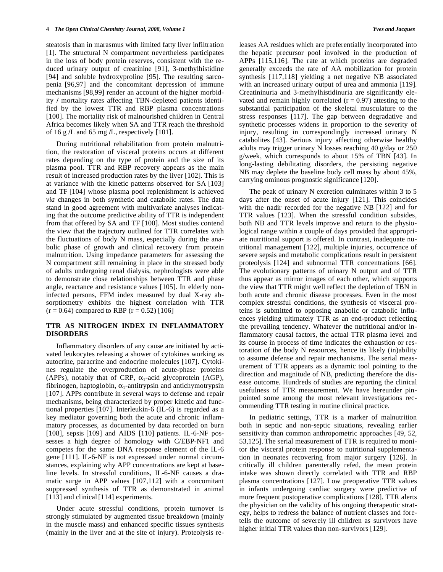steatosis than in marasmus with limited fatty liver infiltration [1]. The structural N compartment nevertheless participates in the loss of body protein reserves, consistent with the reduced urinary output of creatinine [91], 3-methylhistidine [94] and soluble hydroxyproline [95]. The resulting sarcopenia [96,97] and the concomitant depression of immune mechanisms [98,99] render an account of the higher morbidity **/** mortality rates affecting TBN-depleted patients identified by the lowest TTR and RBP plasma concentrations [100]. The mortality risk of malnourished children in Central Africa becomes likely when SA and TTR reach the threshold of 16 g **/**L and 65 mg **/**L, respectively [101].

 During nutritional rehabilitation from protein malnutrition, the restoration of visceral proteins occurs at different rates depending on the type of protein and the size of its plasma pool. TTR and RBP recovery appears as the main result of increased production rates by the liver [102]. This is at variance with the kinetic patterns observed for SA [103] and TF [104] whose plasma pool replenishment is achieved *via* changes in both synthetic and catabolic rates. The data stand in good agreement with multivariate analyses indicating that the outcome predictive ability of TTR is independent from that offered by SA and TF [100]. Most studies contend the view that the trajectory outlined for TTR correlates with the fluctuations of body N mass, especially during the anabolic phase of growth and clinical recovery from protein malnutrition. Using impedance parameters for assessing the N compartment still remaining in place in the stressed body of adults undergoing renal dialysis, nephrologists were able to demonstrate close relationships between TTR and phase angle, reactance and resistance values [105]. In elderly noninfected persons, FFM index measured by dual X-ray absorptiometry exhibits the highest correlation with TTR  $(r = 0.64)$  compared to RBP  $(r = 0.52)$  [106]

#### **TTR AS NITROGEN INDEX IN INFLAMMATORY DISORDERS**

 Inflammatory disorders of any cause are initiated by activated leukocytes releasing a shower of cytokines working as autocrine, paracrine and endocrine molecules [107]. Cytokines regulate the overproduction of acute-phase proteins (APPs), notably that of CRP,  $\alpha_1$ -acid glycoprotein (AGP), fibrinogen, haptoglobin,  $\alpha_1$ -antitrypsin and antichymotrypsin [107]. APPs contribute in several ways to defense and repair mechanisms, being characterized by proper kinetic and functional properties [107]. Interleukin-6 (IL-6) is regarded as a key mediator governing both the acute and chronic inflammatory processes, as documented by data recorded on burn [108], sepsis [109] and AIDS [110] patients. IL-6-NF possesses a high degree of homology with C/EBP-NF1 and competes for the same DNA response element of the IL-6 gene [111]. IL-6-NF is not expressed under normal circumstances, explaining why APP concentrations are kept at baseline levels. In stressful conditions, IL-6-NF causes a dramatic surge in APP values [107,112] with a concomitant suppressed synthesis of TTR as demonstrated in animal [113] and clinical [114] experiments.

 Under acute stressful conditions, protein turnover is strongly stimulated by augmented tissue breakdown (mainly in the muscle mass) and enhanced specific tissues synthesis (mainly in the liver and at the site of injury). Proteolysis releases AA residues which are preferentially incorporated into the hepatic precursor pool involved in the production of APPs [115,116]. The rate at which proteins are degraded generally exceeds the rate of AA mobilization for protein synthesis [117,118] yielding a net negative NB associated with an increased urinary output of urea and ammonia [119]. Creatininuria and 3-methylhistidinuria are significantly elevated and remain highly correlated  $(r = 0.97)$  attesting to the substantial participation of the skeletal musculature to the stress responses [117]. The gap between degradative and synthetic processes widens in proportion to the severity of injury, resulting in correspondingly increased urinary N catabolites [43]. Serious injury affecting otherwise healthy adults may trigger urinary N losses reaching 40 g/day or 250 g/week, which corresponds to about 15% of TBN [43]. In long-lasting debilitating disorders, the persisting negative NB may deplete the baseline body cell mass by about 45%, carrying ominous prognostic significance [120].

 The peak of urinary N excretion culminates within 3 to 5 days after the onset of acute injury [121]. This coincides with the nadir recorded for the negative NB [122] and for TTR values [123]. When the stressful condition subsides, both NB and TTR levels improve and return to the physiological range within a couple of days provided that appropriate nutritional support is offered. In contrast, inadequate nutritional management [122], multiple injuries, occurrence of severe sepsis and metabolic complications result in persistent proteolysis [124] and subnormal TTR concentrations [66]. The evolutionary patterns of urinary N output and of TTR thus appear as mirror images of each other, which supports the view that TTR might well reflect the depletion of TBN in both acute and chronic disease processes. Even in the most complex stressful conditions, the synthesis of visceral proteins is submitted to opposing anabolic or catabolic influences yielding ultimately TTR as an end-product reflecting the prevailing tendency. Whatever the nutritional and/or inflammatory causal factors, the actual TTR plasma level and its course in process of time indicates the exhaustion or restoration of the body N resources, hence its likely (in)ability to assume defense and repair mechanisms. The serial measurement of TTR appears as a dynamic tool pointing to the direction and magnitude of NB, predicting therefore the disease outcome. Hundreds of studies are reporting the clinical usefulness of TTR measurement. We have hereunder pinpointed some among the most relevant investigations recommending TTR testing in routine clinical practice.

 In pediatric settings, TTR is a marker of malnutrition both in septic and non-septic situations, revealing earlier sensitivity than common anthropometric approaches [49, 52, 53,125]. The serial measurement of TTR is required to monitor the visceral protein response to nutritional supplementation in neonates recovering from major surgery [126]. In critically ill children parenterally refed, the mean protein intake was shown directly correlated with TTR and RBP plasma concentrations [127]. Low preoperative TTR values in infants undergoing cardiac surgery were predictive of more frequent postoperative complications [128]. TTR alerts the physician on the validity of his ongoing therapeutic strategy, helps to redress the balance of nutrient classes and foretells the outcome of severely ill children as survivors have higher initial TTR values than non-survivors [129].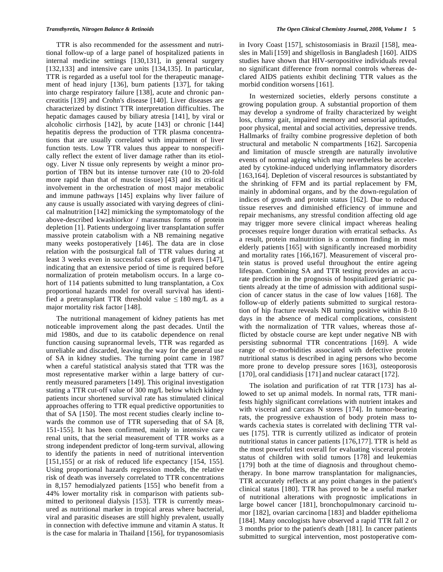TTR is also recommended for the assessment and nutritional follow-up of a large panel of hospitalized patients in internal medicine settings [130,131], in general surgery [132,133] and intensive care units [134,135]. In particular, TTR is regarded as a useful tool for the therapeutic management of head injury [136], burn patients [137], for taking into charge respiratory failure [138], acute and chronic pancreatitis [139] and Crohn's disease [140]. Liver diseases are characterized by distinct TTR interpretation difficulties. The hepatic damages caused by biliary atresia [141], by viral or alcoholic cirrhosis [142], by acute [143] or chronic [144] hepatitis depress the production of TTR plasma concentrations that are usually correlated with impairment of liver function tests. Low TTR values thus appear to nonspecifically reflect the extent of liver damage rather than its etiology. Liver N tissue only represents by weight a minor proportion of TBN but its intense turnover rate (10 to 20-fold more rapid than that of muscle tissue) [43] and its critical involvement in the orchestration of most major metabolic and immune pathways [145] explains why liver failure of any cause is usually associated with varying degrees of clinical malnutrition [142] mimicking the symptomatology of the above-described kwashiorkor **/** marasmus forms of protein depletion [1]. Patients undergoing liver transplantation suffer massive protein catabolism with a NB remaining negative many weeks postoperatively [146]. The data are in close relation with the postsurgical fall of TTR values during at least 3 weeks even in successful cases of graft livers [147], indicating that an extensive period of time is required before normalization of protein metabolism occurs. In a large cohort of 114 patients submitted to lung transplantation, a Cox proportional hazards model for overall survival has identified a pretransplant TTR threshold value  $\leq 180$  mg/L as a major mortality risk factor [148].

 The nutritional management of kidney patients has met noticeable improvement along the past decades. Until the mid 1980s, and due to its catabolic dependence on renal function causing supranormal levels, TTR was regarded as unreliable and discarded, leaving the way for the general use of SA in kidney studies. The turning point came in 1987 when a careful statistical analysis stated that TTR was the most representative marker within a large battery of currently measured parameters [149]. This original investigation stating a TTR cut-off value of 300 mg**/**L below which kidney patients incur shortened survival rate has stimulated clinical approaches offering to TTR equal predictive opportunities to that of SA [150]. The most recent studies clearly incline towards the common use of TTR superseding that of SA [8, 151-155]. It has been confirmed, mainly in intensive care renal units, that the serial measurement of TTR works as a strong independent predictor of long-term survival, allowing to identify the patients in need of nutritional intervention [151,155] or at risk of reduced life expectancy [154, 155]. Using proportional hazards regression models, the relative risk of death was inversely correlated to TTR concentrations in 8,157 hemodialyzed patients [155] who benefit from a 44% lower mortality risk in comparison with patients submitted to peritoneal dialysis [153]. TTR is currently measured as nutritional marker in tropical areas where bacterial, viral and parasitic diseases are still highly prevalent, usually in connection with defective immune and vitamin A status. It is the case for malaria in Thailand [156], for trypanosomiasis

in Ivory Coast [157], schistosomiasis in Brazil [158], measles in Mali [159] and shigellosis in Bangladesh [160]. AIDS studies have shown that HIV-seropositive individuals reveal no significant difference from normal controls whereas declared AIDS patients exhibit declining TTR values as the morbid condition worsens [161].

 In westernized societies, elderly persons constitute a growing population group. A substantial proportion of them may develop a syndrome of frailty characterized by weight loss, clumsy gait, impaired memory and sensorial aptitudes, poor physical, mental and social activities, depressive trends. Hallmarks of frailty combine progressive depletion of both structural and metabolic N compartments [162]. Sarcopenia and limitation of muscle strength are naturally involutive events of normal ageing which may nevertheless be accelerated by cytokine-induced underlying inflammatory disorders [163,164]. Depletion of visceral resources is substantiated by the shrinking of FFM and its partial replacement by FM, mainly in abdominal organs, and by the down-regulation of indices of growth and protein status [162]. Due to reduced tissue reserves and diminished efficiency of immune and repair mechanisms, any stressful condition affecting old age may trigger more severe clinical impact whereas healing processes require longer duration with erratical setbacks. As a result, protein malnutrition is a common finding in most elderly patients [165] with significantly increased morbidity and mortality rates [166,167]. Measurement of visceral protein status is proved useful throughout the entire ageing lifespan. Combining SA and TTR testing provides an accurate prediction in the prognosis of hospitalized geriatric patients already at the time of admission with additional suspicion of cancer status in the case of low values [168]. The follow-up of elderly patients submitted to surgical restoration of hip fracture reveals NB turning positive within 8-10 days in the absence of medical complications, consistent with the normalization of TTR values, whereas those afflicted by obstacle course are kept under negative NB with persisting subnormal TTR concentrations [169]. A wide range of co-morbidities associated with defective protein nutritional status is described in aging persons who become more prone to develop pressure sores [163], osteoporosis [170], oral candidiasis [171] and nuclear cataract [172].

 The isolation and purification of rat TTR [173] has allowed to set up animal models. In normal rats, TTR manifests highly significant correlations with nutrient intakes and with visceral and carcass N stores [174]. In tumor-bearing rats, the progressive exhaustion of body protein mass towards cachexia states is correlated with declining TTR values [175]. TTR is currently utilized as indicator of protein nutritional status in cancer patients [176,177]. TTR is held as the most powerful test overall for evaluating visceral protein status of children with solid tumors [178] and leukemias [179] both at the time of diagnosis and throughout chemotherapy. In bone marrow transplantation for malignancies, TTR accurately reflects at any point changes in the patient's clinical status [180]. TTR has proved to be a useful marker of nutritional alterations with prognostic implications in large bowel cancer [181], bronchopulmonary carcinoid tumor [182], ovarian carcinoma [183] and bladder epithelioma [184]. Many oncologists have observed a rapid TTR fall 2 or 3 months prior to the patient's death [181]. In cancer patients submitted to surgical intervention, most postoperative com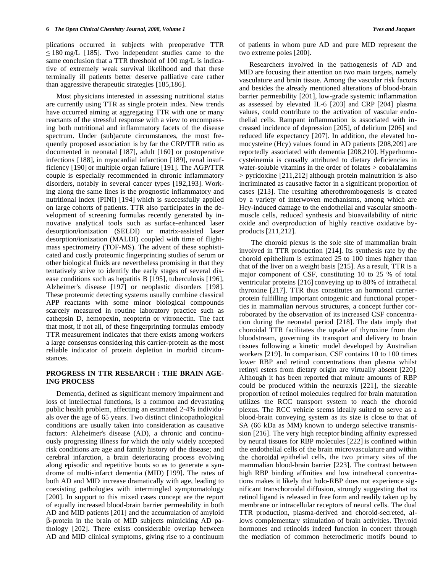plications occurred in subjects with preoperative TTR  $\leq 180$  mg/L [185]. Two independent studies came to the same conclusion that a TTR threshold of 100 mg/L is indicative of extremely weak survival likelihood and that these terminally ill patients better deserve palliative care rather than aggressive therapeutic strategies [185,186].

 Most physicians interested in assessing nutritional status are currently using TTR as single protein index. New trends have occurred aiming at aggregating TTR with one or many reactants of the stressful response with a view to encompassing both nutritional and inflammatory facets of the disease spectrum. Under (sub)acute circumstances, the most frequently proposed association is by far the CRP**/**TTR ratio as documented in neonatal [187], adult [160] or postoperative infections [188], in myocardial infarction [189], renal insufficiency [190] or multiple organ failure [191]. The AGP**/**TTR couple is especially recommended in chronic inflammatory disorders, notably in several cancer types [192,193]. Working along the same lines is the prognostic inflammatory and nutritional index (PINI) [194] which is successfully applied on large cohorts of patients. TTR also participates in the development of screening formulas recently generated by innovative analytical tools such as surface-enhanced laser desorption**/**ionization (SELDI) or matrix-assisted laser desorption**/**ionization (MALDI) coupled with time of flightmass spectrometry (TOF-MS). The advent of these sophisticated and costly proteomic fingerprinting studies of serum or other biological fluids are nevertheless promising in that they tentatively strive to identify the early stages of several disease conditions such as hepatitis B [195], tuberculosis [196], Alzheimer's disease [197] or neoplastic disorders [198]. These proteomic detecting systems usually combine classical APP reactants with some minor biological compounds scarcely measured in routine laboratory practice such as cathepsin D, hemopexin, neopterin or vitronectin. The fact that most, if not all, of these fingerprinting formulas embody TTR measurement indicates that there exists among workers a large consensus considering this carrier-protein as the most reliable indicator of protein depletion in morbid circumstances.

#### **PROGRESS IN TTR RESEARCH : THE BRAIN AGE-ING PROCESS**

 Dementia, defined as significant memory impairment and loss of intellectual functions, is a common and devastating public health problem, affecting an estimated 2-4% individuals over the age of 65 years. Two distinct clinicopathological conditions are usually taken into consideration as causative factors: Alzheimer's disease (AD), a chronic and continuously progressing illness for which the only widely accepted risk conditions are age and family history of the disease; and cerebral infarction, a brain deteriorating process evolving along episodic and repetitive bouts so as to generate a syndrome of multi-infarct dementia (MID) [199]. The rates of both AD and MID increase dramatically with age, leading to coexisting pathologies with intermingled symptomatology [200]. In support to this mixed cases concept are the report of equally increased blood-brain barrier permeability in both AD and MID patients [201] and the accumulation of amyloid -protein in the brain of MID subjects mimicking AD pathology [202]. There exists considerable overlap between AD and MID clinical symptoms, giving rise to a continuum

 Researchers involved in the pathogenesis of AD and MID are focusing their attention on two main targets, namely vasculature and brain tissue. Among the vascular risk factors and besides the already mentioned alterations of blood-brain barrier permeability [201], low-grade systemic inflammation as assessed by elevated IL-6 [203] and CRP [204] plasma values, could contribute to the activation of vascular endothelial cells. Rampant inflammation is associated with increased incidence of depression [205], of delirium [206] and reduced life expectancy [207]. In addition, the elevated homocysteine (Hcy) values found in AD patients [208,209] are reportedly associated with dementia [208,210]. Hyperhomocysteinemia is causally attributed to dietary deficiencies in water-soluble vitamins in the order of folates > cobalalamins > pyridoxine [211,212] although protein malnutrition is also incriminated as causative factor in a significant proportion of cases [213]. The resulting atherothrombogenesis is created by a variety of interwoven mechanisms, among which are Hcy-induced damage to the endothelial and vascular smoothmuscle cells, reduced synthesis and bioavailability of nitric oxide and overproduction of highly reactive oxidative byproducts [211,212].

 The choroid plexus is the sole site of mammalian brain involved in TTR production [214]. Its synthesis rate by the choroid epithelium is estimated 25 to 100 times higher than that of the liver on a weight basis [215]. As a result, TTR is a major component of CSF, constituting 10 to 25 % of total ventricular proteins [216] conveying up to 80% of intrathecal thyroxine [217]. TTR thus constitutes an hormonal carrierprotein fulfilling important ontogenic and functional properties in mammalian nervous structures, a concept further corroborated by the observation of its increased CSF concentration during the neonatal period [218]. The data imply that choroidal TTR facilitates the uptake of thyroxine from the bloodstream, governing its transport and delivery to brain tissues following a kinetic model developed by Australian workers [219]. In comparison, CSF contains 10 to 100 times lower RBP and retinol concentrations than plasma whilst retinyl esters from dietary origin are virtually absent [220]. Although it has been reported that minute amounts of RBP could be produced within the neuraxis [221], the sizeable proportion of retinol molecules required for brain maturation utilizes the RCC transport system to reach the choroid plexus. The RCC vehicle seems ideally suited to serve as a blood-brain conveying system as its size is close to that of SA (66 kDa as MM) known to undergo selective transmission [216]. The very high receptor binding affinity expressed by neural tissues for RBP molecules [222] is confined within the endothelial cells of the brain microvasculature and within the choroidal epithelial cells, the two primary sites of the mammalian blood-brain barrier [223]. The contrast between high RBP binding affinities and low intrathecal concentrations makes it likely that holo-RBP does not experience significant transchoroidal diffusion, strongly suggesting that its retinol ligand is released in free form and readily taken up by membrane or intracellular receptors of neural cells. The dual TTR production, plasma-derived and choroid-secreted, allows complementary stimulation of brain activities. Thyroid hormones and retinoids indeed function in concert through the mediation of common heterodimeric motifs bound to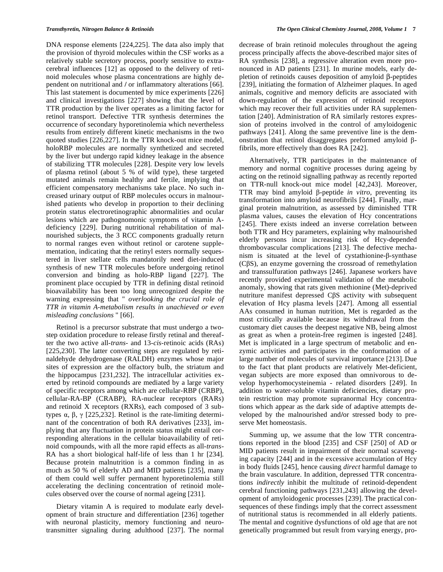DNA response elements [224,225]. The data also imply that the provision of thyroid molecules within the CSF works as a relatively stable secretory process, poorly sensitive to extracerebral influences [12] as opposed to the delivery of retinoid molecules whose plasma concentrations are highly dependent on nutritional and **/** or inflammatory alterations [66]. This last statement is documented by mice experiments [226] and clinical investigations [227] showing that the level of TTR production by the liver operates as a limiting factor for retinol transport. Defective TTR synthesis determines the occurrence of secondary hyporetinolemia which nevertheless results from entirely different kinetic mechanisms in the two quoted studies [226,227]. In the TTR knock-out mice model, holoRBP molecules are normally synthetized and secreted by the liver but undergo rapid kidney leakage in the absence of stabilizing TTR molecules [228]. Despite very low levels of plasma retinol (about 5 % of wild type), these targeted mutated animals remain healthy and fertile, implying that efficient compensatory mechanisms take place. No such increased urinary output of RBP molecules occurs in malnourished patients who develop in proportion to their declining protein status electroretinographic abnormalities and ocular lesions which are pathognomonic symptoms of vitamin Adeficiency [229]. During nutritional rehabilitation of malnourished subjects, the 3 RCC components gradually return to normal ranges even without retinol or carotene supplementation, indicating that the retinyl esters normally sequestered in liver stellate cells mandatorily need diet-induced synthesis of new TTR molecules before undergoing retinol conversion and binding as holo-RBP ligand [227]. The prominent place occupied by TTR in defining distal retinoid bioavailability has been too long unrecognized despite the warning expressing that " *overlooking the crucial role of TTR in vitamin A-metabolism results in unachieved or even misleading conclusions* " [66].

 Retinol is a precursor substrate that must undergo a twostep oxidation procedure to release firstly retinal and thereafter the two active all-*trans*- and 13-*cis*-retinoic acids (RAs) [225,230]. The latter converting steps are regulated by retinaldehyde dehydrogenase (RALDH) enzymes whose major sites of expression are the olfactory bulb, the striatum and the hippocampus [231,232]. The intracellular activities exerted by retinoid compounds are mediated by a large variety of specific receptors among which are cellular-RBP (CRBP), cellular-RA-BP (CRABP), RA-nuclear receptors (RARs) and retinoid X receptors (RXRs), each composed of 3 subtypes  $\alpha$ ,  $\beta$ ,  $\gamma$  [225,232]. Retinol is the rate-limiting determinant of the concentration of both RA derivatives [233], implying that any fluctuation in protein status might entail corresponding alterations in the cellular bioavailability of retinoid compounds, with all the more rapid effects as all-*trans*-RA has a short biological half-life of less than 1 hr [234]. Because protein malnutrition is a common finding in as much as 50 % of elderly AD and MID patients [235], many of them could well suffer permanent hyporetinolemia still accelerating the declining concentration of retinoid molecules observed over the course of normal ageing [231].

 Dietary vitamin A is required to modulate early development of brain structure and differentiation [236] together with neuronal plasticity, memory functioning and neurotransmitter signaling during adulthood [237]. The normal decrease of brain retinoid molecules throughout the ageing process principally affects the above-described major sites of RA synthesis [238], a regressive alteration even more pronounced in AD patients [231]. In murine models, early depletion of retinoids causes deposition of amyloid  $\beta$ -peptides [239], initiating the formation of Alzheimer plaques. In aged animals, cognitive and memory deficits are associated with down-regulation of the expression of retinoid receptors which may recover their full activities under RA supplementation [240]. Administration of RA similarly restores expression of proteins involved in the control of amyloidogenic pathways [241]. Along the same preventive line is the demonstration that retinol disaggregates preformed amyloid  $\beta$ fibrils, more effectively than does RA [242].

 Alternatively, TTR participates in the maintenance of memory and normal cognitive processes during ageing by acting on the retinoid signalling pathway as recently reported on TTR-null knock-out mice model [42,243]. Moreover, TTR may bind amyloid  $\beta$ -peptide *in vitro*, preventing its transformation into amyloid neurofibrils [244]. Finally, marginal protein malnutrition, as assessed by diminished TTR plasma values, causes the elevation of Hcy concentrations [245]. There exists indeed an inverse correlation between both TTR and Hcy parameters, explaining why malnourished elderly persons incur increasing risk of Hcy-depended thrombovascular complications [213]. The defective mechanism is situated at the level of cystathionine- $\beta$ -synthase  $(C\beta S)$ , an enzyme governing the crossroad of remethylation and transsulfuration pathways [246]. Japanese workers have recently provided experimental validation of the metabolic anomaly, showing that rats given methionine (Met)-deprived nutriture manifest depressed C $\beta S$  activity with subsequent elevation of Hcy plasma levels [247]. Among all essential AAs consumed in human nutrition, Met is regarded as the most critically available because its withdrawal from the customary diet causes the deepest negative NB, being almost as great as when a protein-free regimen is ingested [248]. Met is implicated in a large spectrum of metabolic and enzymic activities and participates in the conformation of a large number of molecules of survival importance [213]. Due to the fact that plant products are relatively Met-deficient, vegan subjects are more exposed than omnivorous to develop hyperhomocysteinemia - related disorders [249]. In addition to water-soluble vitamin deficiencies, dietary protein restriction may promote supranormal Hcy concentrations which appear as the dark side of adaptive attempts developed by the malnourished and**/**or stressed body to preserve Met homeostasis.

 Summing up, we assume that the low TTR concentrations reported in the blood [235] and CSF [250] of AD or MID patients result in impairment of their normal scavenging capacity [244] and in the excessive accumulation of Hcy in body fluids [245], hence causing *direct* harmful damage to the brain vasculature. In addition, depressed TTR concentrations *indirectly* inhibit the multitude of retinoid-dependent cerebral functioning pathways [231,243] allowing the development of amyloidogenic processes [239]. The practical consequences of these findings imply that the correct assessment of nutritional status is recommended in all elderly patients. The mental and cognitive dysfunctions of old age that are not genetically programmed but result from varying energy, pro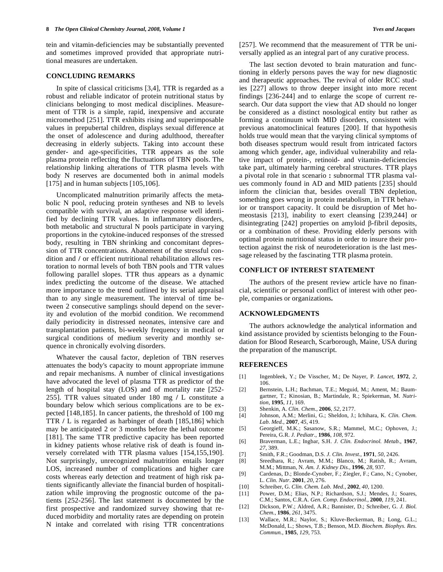tein and vitamin-deficiencies may be substantially prevented and sometimes improved provided that appropriate nutritional measures are undertaken.

#### **CONCLUDING REMARKS**

 In spite of classical criticisms [3,4], TTR is regarded as a robust and reliable indicator of protein nutritional status by clinicians belonging to most medical disciplines. Measurement of TTR is a simple, rapid, inexpensive and accurate micromethod [251]. TTR exhibits rising and superimposable values in prepubertal children, displays sexual difference at the onset of adolescence and during adulthood, thereafter decreasing in elderly subjects. Taking into account these gender- and age-specificities, TTR appears as the sole plasma protein reflecting the fluctuations of TBN pools. The relationship linking alterations of TTR plasma levels with body N reserves are documented both in animal models [175] and in human subjects [105,106].

 Uncomplicated malnutrition primarily affects the metabolic N pool, reducing protein syntheses and NB to levels compatible with survival, an adaptive response well identified by declining TTR values. In inflammatory disorders, both metabolic and structural N pools participate in varying proportions in the cytokine-induced responses of the stressed body, resulting in TBN shrinking and concomitant depression of TTR concentrations. Abatement of the stressful condition and **/** or efficient nutritional rehabilitation allows restoration to normal levels of both TBN pools and TTR values following parallel slopes. TTR thus appears as a dynamic index predicting the outcome of the disease. We attached more importance to the trend outlined by its serial appraisal than to any single measurement. The interval of time between 2 consecutive samplings should depend on the severity and evolution of the morbid condition. We recommend daily periodicity in distressed neonates, intensive care and transplantation patients, bi-weekly frequency in medical or surgical conditions of medium severity and monthly sequence in chronically evolving disorders.

 Whatever the causal factor, depletion of TBN reserves attenuates the body's capacity to mount appropriate immune and repair mechanisms. A number of clinical investigations have advocated the level of plasma TTR as predictor of the length of hospital stay (LOS) and of mortality rate [252- 255]. TTR values situated under 180 mg **/** L constitute a boundary below which serious complications are to be expected [148,185]. In cancer patients, the threshold of 100 mg TTR **/** L is regarded as harbinger of death [185,186] which may be anticipated 2 or 3 months before the lethal outcome [181]. The same TTR predictive capacity has been reported in kidney patients whose relative risk of death is found inversely correlated with TTR plasma values [154,155,190]. Not surprisingly, unrecognized malnutrition entails longer LOS, increased number of complications and higher care costs whereas early detection and treatment of high risk patients significantly alleviate the financial burden of hospitalization while improving the prognostic outcome of the patients [252-256]. The last statement is documented by the first prospective and randomized survey showing that reduced morbidity and mortality rates are depending on protein N intake and correlated with rising TTR concentrations [257]. We recommend that the measurement of TTR be universally applied as an integral part of any curative process.

 The last section devoted to brain maturation and functioning in elderly persons paves the way for new diagnostic and therapeutic approaches. The revival of older RCC studies [227] allows to throw deeper insight into more recent findings [236-244] and to enlarge the scope of current research. Our data support the view that AD should no longer be considered as a distinct nosological entity but rather as forming a continuum with MID disorders, consistent with previous anatomoclinical features [200]. If that hypothesis holds true would mean that the varying clinical symptoms of both diseases spectrum would result from intricated factors among which gender, age, individual vulnerability and relative impact of protein-, retinoid- and vitamin-deficiencies take part, ultimately harming cerebral structures. TTR plays a pivotal role in that scenario **:** subnormal TTR plasma values commonly found in AD and MID patients [235] should inform the clinician that, besides overall TBN depletion, something goes wrong in protein metabolism, in TTR behavior or transport capacity. It could be disruption of Met homeostasis [213], inability to exert cleansing [239,244] or disintegrating  $[242]$  properties on amyloid  $\beta$ -fibril deposits, or a combination of these. Providing elderly persons with optimal protein nutritional status in order to insure their protection against the risk of neurodeterioration is the last message released by the fascinating TTR plasma protein.

#### **CONFLICT OF INTEREST STATEMENT**

 The authors of the present review article have no financial, scientific or personal conflict of interest with other people, companies or organizations**.** 

#### **ACKNOWLEDGMENTS**

 The authors acknowledge the analytical information and kind assistance provided by scientists belonging to the Foundation for Blood Research, Scarborough, Maine, USA during the preparation of the manuscript.

#### **REFERENCES**

- [1] Ingenbleek, Y.; De Visscher, M.; De Nayer, P. *Lancet*, **1972**, *2*, 106.
- [2] Bernstein, L.H.; Bachman, T.E.; Meguid, M.; Ament, M.; Baumgartner, T.; Kinosian, B.; Martindale, R.; Spiekerman, M. *Nutrition,* **1995**, *11*, 169.
- [3] Shenkin, A. *Clin. Chem.,* **2006**, *52*, 2177.
- [4] Johnson, A.M.; Merlini, G.; Sheldon, J.; Ichihara, K. *Clin. Chem. Lab. Med.,* **2007**, *45*, 419.
- [5] Georgieff, M.K.; Sasanow, S.R.; Mammel, M.C.; Ophoven, J.; Pereira, G.R. *J. Pediatr.,* **1986**, *108*, 972.
- [6] Braverman, L.E.; Ingbar, S.H. *J. Clin. Endocrinol. Metab.,* **1967**, *27*, 389.
- [7] Smith, F.R.; Goodman, D.S. *J. Clin. Invest.,* **1971**, *50*, 2426.
- Sreedhara, R.; Avram, M.M.; Blanco, M.; Ratish, R.; Avram, M.M.; Mittman, N. *Am. J. Kidney Dis.,* **1996**, *28*, 937.
- [9] Cardenas, D.; Blonde-Cynober, F.; Ziegler, F.; Cano, N.; Cynober, L. *Clin. Nutr.* **2001**, *20*, 276.
- [10] Schreiber, G. *Clin. Chem. Lab. Med.,* **2002**, *40*, 1200.
- [11] Power, D.M.; Elias, N.P.; Richardson, S.J.; Mendes, J.; Soares, C.M.; Santos, C.R.A. *Gen. Comp. Endocrinol.,* **2000***, 119*, 241.
- [12] Dickson, P.W.; Aldred, A.R.; Bannister, D.; Schreiber, G. *J. Biol. Chem.,* **1986***, 261*, 3475.
- [13] Wallace, M.R.; Naylor, S.; Kluve-Beckerman, B.; Long, G.L.; McDonald, L.; Shows, T.B.; Benson, M.D. *Biochem. Biophys. Res. Commun.,* **1985**, *129*, 753.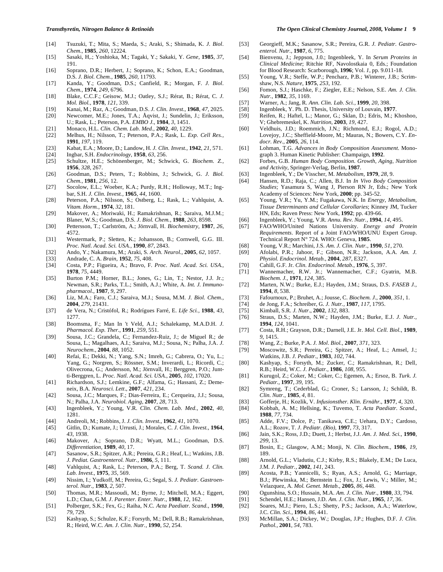- [14] Tsuzuki, T.; Mita, S.; Maeda, S.; Araki, S.; Shimada, K. *J. Biol. Chem.,* **1985**, *260*, 12224.
- [15] Sasaki, H,.; Yoshioka, M.; Tagaki, Y.; Sakaki, Y. *Gene,* **1985**, *37*, 191.
- [16] Soprano, D.R.; Herbert, J.; Soprano, K.; Schon, E.A.; Goodman, D.S. *J. Biol. Chem.,* **1985**, *260*, 11793.
- [17] Kanda, Y.; Goodman, D.S.; Canfield, R.; Morgan, F. *J. Biol. Chem.,* **1974**, *249*, 6796.
- [18] Blake, C.C.F.; Geisow, M.J.; Oatley, S.J.; Rérat, B.; Rérat, C. *J. Mol. Biol.,* **1978**, *121*, 339.
- [19] Kanai, M.; Raz, A.; Goodman, D.S. *J. Clin. Invest.,* **1968**, *47*, 2025.
- [20] Newcomer, M.E.; Jones, T.A.; Åqvist, J.; Sundelin, J.; Eriksson,
- U.; Rask, L.; Peterson, P.A. *EMBO J.*, **1984**, *3*, 1451.
- [21] Monaco, H.L. *Clin. Chem. Lab. Med.,* **2002**, *40*, 1229.
- [22] Melhus, H.; Nilsson, T.; Peterson, P.A.; Rask, L. *Exp. Cell Res.,*  **1991**, *197*, 119.
- [23] Kabat, E.A.; Moore, D.; Landow, H. *J. Clin. Invest.,* **1942**, *21*, 571.
- [24] Ingbar, S.H. *Endocrinology,* **1958**, *63*, 256.
- [25] Schultze, H.E.; Schönenberger, M.; Schwick, G. *Biochem. Z.,*  **1956**, *328*, 267.
- [26] Goodman, D.S.; Peters, T.; Robbins, J.; Schwick, G. *J. Biol. Chem.,* **1981**, *256*, 12.
- [27] Socolow, E.L.; Woeber, K.A.; Purdy, R.H.; Holloway, M.T.; Ingbar, S.H. *J. Clin. Invest.,* **1965**, *44*, 1600.
- [28] Peterson, P.A.; Nilsson, S.; Ostberg, L.; Rask, L.; Vahlquist, A. *Vitam. Horm.,* **1974**, *32*, 181.
- [29] Makover, A.; Moriwaki, H.; Ramakrishnan, R.; Saraiva, M.J.M.; Blaner, W.S.; Goodman, D.S. *J. Biol. Chem.,* **1988**, *263*, 8598.
- [30] Pettersson, T.; Carlström, A.; Jörnvall, H. *Biochemistry,* **1987**, *26*, 4572.
- [31] Westermark, P.; Sletten, K.; Johansson, B.; Cornwell, G.G. III. *Proc. Natl. Acad. Sci. USA.,* **1990**, *87*, 2843.
- [32] Ando, Y.; Nakamura, M.; Araki, S. *Arch. Neurol.,* **2005**, *62*, 1057.
- 
- [33] Andrade, C. A. *Brain,* **1952**, *75*, 408. [34] Costa, P.P.; Figueira, A.; Bravo, F. *Proc. Natl. Acad. Sci. USA.,* **1978**, *75*, 4449.
- [35] Burton P.M.; Horner, B.L.; Jones, G.; Lin, T.; Nestor, J.J. Jr.; Newman, S.R.; Parks, T.L.; Smith, A.J.; White, A. *Int. J. Immunopharmacol*., **1987**, *9*, 297.
- [36] Liz, M.A.; Faro, C.J.; Saraiva, M.J.; Sousa, M.M. *J. Biol. Chem.,* **2004**, *279*, 21431.
- [37] de Vera, N.; Cristófol, R.; Rodrígues Farré, E. *Life Sci.,* **1988**, *43*, 1277.
- [38] Boomsma, F.; Man In 't Veld, A.J.; Schalekamp, M.A.D.H. *J. Pharmacol. Exp. Ther.,* **1991**, *259*, 551.
- [39] Sousa, J.C.; Grandela, C.; Fernandez-Ruiz, J.; de Miguel R.; de Sousa, L.; Magalhaes, A.I.; Saraiva, M.J.; Sousa, N.; Palha, J.A. *J. Neurochem.,* **2004**, *88*, 1052.
- [40] Refai, E.; Dekki, N.; Yang, S.N.; Imreh, G.; Cabrera, O.; Yu, L.; Yang, G.; Norgren, S.; Rössner, S.M.; Inverardi, L.; Ricordi, C.; Olivecrona, G.; Andersson, M.; Jörnvall, H.; Berggren, P.O.; Juntti-Berggren, L. *Proc. Natl. Acad. Sci. USA.,* **2005**, *102*, 17020.
- [41] Richardson, S.J.; Lemkine, G.F.; Alfama, G.; Hassani, Z.; Demeneix, B.A*. Neurosci. Lett*., **2007**, *421*, 234.
- [42] Sousa, J.C.; Marques, F.; Dias-Ferreira, E.; Cerqueira, J.J.; Sousa, N.; Palha, J.A. *Neurobiol. Aging*, **2007**, *28*, 713.
- [43] Ingenbleek, Y.; Young, V.R. *Clin. Chem. Lab. Med.,* **2002**, *40*, 1281.
- [44] Andreoli, M.; Robbins, J. *J. Clin. Invest.,* **1962**, *41*, 1070.
- [45] Gitlin, D.; Kumate, J.; Urrusti, J.; Morales, C. *J. Clin. Invest.,* **1964**, *43*, 1938.
- [46] Makover, A.; Soprano, D.R.; Wyatt, M.L.; Goodman, D.S. *Differentiation,* **1989**, *40*, 17.
- [47] Sasanow, S.R.; Spitzer, A.R.; Pereira, G.R.; Heaf, L.; Watkins, J.B. *J. Pediat. Gastroenterol. Nutr.,* **1986**, *5*, 111.
- [48] Vahlquist, A.; Rask, L.; Peterson, P.A.; Berg, T. *Scand. J. Clin. Lab. Invest.,* **1975**, *35*, 569.
- [49] Nissim, I.; Yudkoff, M.; Pereira, G.; Segal, S. *J. Pediatr. Gastroenterol. Nutr.,* **1983**, *2,* 507.
- [50] Thomas, M.R.; Massoudi, M.; Byrne, J.; Mitchell, M.A.; Eggert, L.D.; Chan, G.M. *J. Parenter. Enter. Nutr.,* **1988**, *12*, 162.
- [51] Polberger, S.K.; Fex, G.; Raiha, N.C. *Acta Paediatr. Scand.,* **1990**, *79*, 729.
- [52] Kashyap, S.; Schulze, K.F.; Forsyth, M.; Dell, R.B.; Ramakrishnan, R.; Heird, W.C. *Am. J. Clin. Nutr.,* **1990**, *52*, 254.
- 
- [53] Georgieff, M.K.; Sasanow, S.R.; Pereira, G.R. *J. Pediatr. Gastroenterol. Nutr.,* **1987**, *6*, 775.
- [54] Bienvenu, J.; Jeppson, J.0.; Ingenbleek, Y. In *Serum Proteins in Clinical Medicine*; Ritchie RF, Navolostkaia 0, Eds.; Foundation for Blood Research: Scarborough, **1996**; Vol. *1*, pp*.* 9.011-18.
- [55] Young, V.R.; Steffe, W.P.; Pencharz, P.B.; Winterer, J.B.; Scrimshaw, N.S. *Nature,* **1975**, *253*, 192.
- [56] Fomon, S.J.; Haschke, F.; Ziegler, E.E.; Nelson, S.E. *Am. J. Clin. Nutr.,* **1982**, *35*, 1169.
- [57] Warner, A.; Jang, R. *Ann. Clin. Lab. Sci.,* **1999**, *20*, 398.
- [58] Ingenbleek, Y. Ph. D. Thesis, University of Louvain, **1977**.
- [59] Reifen, R.; Haftel, L.; Manor, G.; Sklan, D.; Edris, M.; Khoshoo, V; Ghebremeskel, K. *Nutrition,* **2003**, *19*, 427.
- [60] Veldhuis, J.D.; Roemmich, J.N.; Richmond, E.J.; Rogol, A.D.; Lovejoy, J.C.; Sheffield-Moore, M.; Mauras, N.; Bowers, C.Y. *Endocr. Rev.,* **2005**, *26*, 114.
- [61] Lohman, T.G. *Advances in Body Composition Assessment*. Monograph 3. Human Kinetic Publisher: Champaign, **1992**.
- [62] Forbes, G.B. *Human Body Composition. Growth, Aging, Nutrition and Activity*, Springer-Verlag, Berlin, **1987**.
- [63] Ingenbleek, Y.; De Visscher, M. *Metabolism,* **1979**, *28*, 9.
- [64] Hansen, R.D.; Raja, C.; Allen, B.J. In *In Vivo Body Composition Studies*; Yasamura S, Wang J, Pierson RN Jr, Eds.; New York Academy of Sciences: New York, **2000**; pp. 345-52.
- [65] Young, V.R.; Yu, Y.M.; Fugakawa, N.K. In *Energy, Metabolism, Tissue Determinants and Cellular Corollaries*; Kinney JM, Tucker HN, Eds; Raven Press: New York, **1992**; pp. 439-66.
- [66] Ingenbleek, Y.; Young, V.R. *Annu. Rev. Nutr.,* **1994**, *14*, 495.
- [67] FAO/WHO/United Nations University. *Energy and Protein Requirements*. Report of a Joint FAO/WHO/UNU Expert Group. Technical Report N° 724. WHO: Geneva, **1985**.
- [68] Young, V.R.; Marchini, J.S. *Am. J. Clin. Nutr.,* **1990**, *51*, 270.
- [69] Afolabi, P.R.; Jahoor, F.; Gibson, N.R.; Jackson, A.A. *Am. J. Physiol. Endocrinol. Metab.,* **2004**, *287*, E327.
- [70] Cahill, G.F. Jr. *Clin. Endocrinol. Metab.,* **1976***, 5,* 397.
- [71] Wannemacher, R.W. Jr.; Wannemacher, C.F.; Gyatrin, M.B. *Biochem. J.,* **1971**, *124*, 385.
- [72] Marten, N.W.; Burke, E.J.; Hayden, J.M.; Straus, D.S. *FASEB J.,*  **1994**, *8*, 538.
- [73] Fafournoux, P.; Bruhet, A.; Jousse, C. *Biochem. J.,* **2000**, *351*, 1.
- [74] de Jong, F.A.; Schreiber, G. *J. Nutr.,* **1987**, *117*, 1795.
- [75] Kimball, S.R. *J. Nutr*., **2002**, *132*, 883.
- [76] Straus, D.S.; Marten, N.W.; Hayden, J.M.; Burke, E.J. *J. Nutr.,* **1994**, *124*, 1041.
- [77] Costa, R.H.; Grayson, D.R.; Darnell, J.E. Jr. *Mol. Cell. Biol*., **1989**, *9*, 1415.
- [78] Wang, Z.; Burke, P.A. *J. Mol*. *Biol.,* **2007**, *371*, 323.
- [79] Moscowitz, S.R.; Pereira, G.; Spitzer, A.; Heaf, L.; Amsel, J.; Watkins, J.B. *J. Pediatr.,* **1983**, *102*, 744.
- [80] Kashyap, S.; Forsyth, M.; Zucker, C.; Ramakrishnan, R.; Dell, R.B.; Heird, W.C. *J. Pediatr.,* **1986**, *108*, 955.
- [81] Kurugol, Z.; Coker, M.; Coker, C.; Egemen, A.; Ersoz, B. *Turk. J. Pediatr.,* **1997**, *39*, 195.
- [82] Symreng, T.; Cederblad, G.; Croner, S.; Larsson, J.; Schildt, B. *Clin. Nutr.,* **1985**, *4*, 81.
- [83] Gofferje, H.; Kozlik, V. *Infusionsther. Klin. Ernähr.,* **1977**, *4*, 320.
- [84] Kobbah, A. M.; Hellsing, K.; Tuvemo, T. *Acta Paediatr. Scand*., **1988**, *77*, 734.
- [85] Adde, F.V.; Dolce, P.; Tanikawa, C.E.; Uehara, D.Y.; Cardoso, A.L.; Rozov, T. *J. Pediatr. (Rio),* **1997**, *73*, 317.
- [86] Jain, S.K.; Ross, J.D.; Duett, J.; Herbst, J.J. *Am. J. Med. Sci.,* **1990**, *299*, 13.
- [87] Bosin, E.; Glasgow, A.M.; Monji, N. *Clin. Biochem.,* **1986**, *19*, 189.
- [88] Arnold, G.L.; Vladutiu, C.J.; Kirby, R.S.; Blakely, E.M.; De Luca, J.M. *J. Pediatr.,* **2002**, *141*, 243.
- [89] Acosta, P.B.; Yannicelli, S.; Ryan, A.S.; Arnold, G.; Marriage, B.J.; Plewinska, M.; Bernstein L.; Fox, J.; Lewis, V.; Miller, M.; Velazquez, A. *Mol. Genet. Metab.,* **2005**, *86*, 448.
- [90] Ogunshina, S.O.; Hussain, M.A. *Am. J. Clin. Nutr.,* **1980**, *33*, 794.
- [91] Schendel, H.E.; Hansen, J.D. *Am. J. Clin. Nutr.,* **1965**, *17*, 36.
- [92] Soares, M.J.; Piero, L.S.; Shetty, P.S.; Jackson, A.A.; Waterlow, J.C. *Clin. Sci.,* **1994**, *86*, 441.
- [93] McMillan, S.A.; Dickey, W.; Douglas, J.P.; Hughes, D.F. *J. Clin. Pathol.,* **2001**, *54*, 783.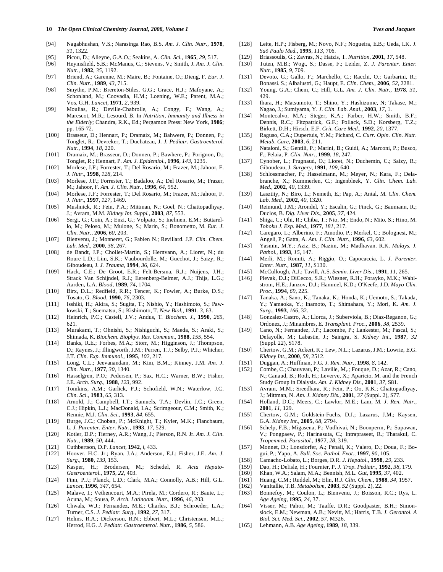#### **10** *The Open Clinical Chemistry Journal, 2008, Volume 1* **<b>***The Chemistry Journal, 2008, Volume 1 Yves and Jacques Yves and Jacques*

- [94] Nagabhushan, V.S.; Narasinga Rao, B.S. *Am. J. Clin. Nutr.,* **1978**, *31*, 1322.
- [95] Picou, D.; Alleyne, G.A.O.; Seakins, A. *Clin. Sci.,* **1965***, 29*, 517.
- [96] Heymsfield, S.B.; McManus, C.; Stevens, V.; Smith, J. *Am. J. Clin. Nutr.,* **1982**, *35*, 1192.
- [97] Briend, A.; Garenne, M.; Maire, B.; Fontaine, O.; Dieng, F. *Eur. J. Clin. Nutr.,* **1989**, *43*, 715.
- [98] Smythe, P.M.; Brereton-Stiles, G.G.; Grace, H.J.; Mafoyane, A.; Schonland, M.; Coovadia, H.M.; Loening, W.E.; Parent, M.A.; Vos, G.H. *Lancet,* **1971**, *2*, 939.
- [99] Moulias, R.; Deville-Chabrolle, A.; Congy, F.; Wang, A.; Marescot, M.R.; Lesourd, B. In *Nutrition, Immunity and Illness in the Elderly*; Chandra, R.K., Ed.; Pergamon Press: New York, **1986**; pp. 165-72.
- [100] Brasseur, D.; Hennart, P.; Dramaix, M.; Bahwere, P.; Donnen, P.; Tonglet, R.; Devreker, T.; Duchateau, J. *J. Pediatr. Gastroenterol. Nutr.,* **1994**, *18*, 220.
- [101] Dramaix, M.; Brasseur, D.; Donnen, P.; Bawhere, P.; Porignon, D.; Tonglet, R.; Hennart, P. *Am. J. Epidemiol*., **1996**, *143*, 1235.
- [102] Morlese, J.F.; Forrester, T.; Del Rosario, M.; Frazer, M.; Jahoor, F. *J. Nutr.,* **1998**, *128*, 214.
- [103] Morlese, J.F.; Forrester, T.; Badaloo, A.; Del Rosario, M.; Frazer, M.; Jahoor, F. *Am. J. Clin. Nutr.,* **1996**, *64*, 952.
- [104] Morlese, J.F.; Forrester, T.; Del Rosario, M.; Frazer, M.; Jahoor, F. *J. Nutr.,* **1997**, *127*, 1469.
- [105] Mushnick, R.; Fein, P.A.; Mittman, N.; Goel, N.; Chattopadhyay, J.; Avram, M.M. *Kidney Int. Suppl.,* **2003**, *87*, 553.
- [106] Sergi, G.; Coin, A.; Enzi, G.; Volpato, S.; Inelmen, E.M.; Buttarello, M.; Peloso, M.; Mulone, S.; Marin, S.; Bonometto, M. *Eur. J. Clin. Nutr.,* **2006**, *60*, 203.
- [107] Bienvenu, J.; Monneret, G.; Fabien N.; Revillard. J.P. *Clin. Chem. Lab. Med.,* **2000**, *38*, 267.
- [108] de Bandt, J.P.; Chollet-Martin, S.; Hernvann, A.; Lioret, N.; du Roure L.D.; Lim, S.K.; Vaubourdolle, M.; Guechot, J.; Saizy, R.; Giboudeau, J. *J. Trauma,* **1994**, *36*, 624.
- [109] Hack, C.E.; De Groot, E.R.; Felt-Bersma, R.J.; Nuijens, J.H.; Strack Van Schijndel, R.J.; Eerenberg-Belmer, A.J.; Thijs, L.G.; Aarden, L.A. *Blood,* **1989**, *74*, 1704.
- [110] Birx, D.L.; Redfield, R.R.; Tencer, K.; Fowler, A.; Burke, D.S.; Tosato, G. *Blood,* **1990***, 76*, 2303.
- [111] Isshiki, H.; Akira, S.; Sugita, T.; Nishio, Y.; Hashimoto, S.; Pawlowski, T.; Suematsu, S.; Kishimoto, T. *New Biol.,* **1991**, *3*, 63.
- [112] Heinrich, P.C.; Castell, J.V.; Andus, T. *Biochem. J.,* **1990**, *265*, 621.
- [113] Murakami, T.; Ohnishi, S.; Nishiguchi, S.; Maeda, S.; Araki, S.; Shimada, K. *Biochem. Biophys. Res. Commun.,* **1988**, *155*, 554.
- [114] Banks, R.E.; Forbes, M.A.; Storr, M.; Higginson, J.; Thompson, D.; Raynes, J.; Illingworth, J.M.; Perren, T.J.; Selby, P.J.; Whicher, J.T. *Clin. Exp. Immunol.,* **1995**, *102*, 217.
- [115] Long, C.L.; Jeevanandam, M.; Kim, B.M,.; Kinney, J.M. *Am. J. Clin. Nutr.,* **1977**, *30*, 1340.
- [116] Hasselgren, P.O.; Pedersen, P.; Sax, H.C.; Warner, B.W.; Fisher, J.E. *Arch. Surg.,* **1988**, *123*, 992.
- [117] Tomkins, A.M.; Garlick, P.J.; Schofield, W.N.; Waterlow, J.C. *Clin. Sci.,* **1983**, *65*, 313.
- [118] Arnold, J.; Campbell, I.T.; Samuels, T.A.; Devlin, J.C.; Green, C.J.; Hipkin, L.J.; MacDonald, I.A.; Scrimgeour, C.M.; Smith, K.; Rennie, M.J. *Clin. Sci.,* **1993**, *84*, 655.
- [119] Burge, J.C.; Choban, P.; McKnight, T.; Kyler, M.K.; Flancbaum, L. *J. Parenter. Enter. Nutr.,* **1993**, *17*, 529.
- [120] Kotler, D.P.; Tierney, A.R.; Wang, J.; Pierson, R.N. Jr. *Am. J. Clin. Nutr.,* **1989**, *50*, 444.
- [121] Cuthbertson, D.P. *Lancet,* **1942**, *i*, 433.
- [122] Hoover, H.C. Jr.; Ryan. J.A.; Anderson, E.J.; Fisher, J.E. *Am. J. Surg.,* **1980**, *139*, 153.
- [123] Kasper, H.; Brodersen, M.; Schedel, R. *Acta Hepato-Gastroenterol.,* **1975**, *22*, 403.
- [124] Finn, P.J.; Planck, L.D.; Clark, M.A.; Connolly, A.B.; Hill, G.L. *Lancet,* **1996**, *347*, 654.
- [125] Malave, I.; Vethencourt, M.A.; Pirela, M.; Cordero, R.; Baute, L.; Acuna, M.; Sousa, P. *Arch. Latinoam. Nutr.,* **1996**, *46*, 203.
- [126] Chwals, W.J.; Fernandez, M.E.; Charles, B.J.; Schroeder, L.A.; Turner, C.S. *J. Pediatr. Surg.,* **1992**, *27*, 317.
- [127] Helms, R.A.; Dickerson, R.N.; Ebbert, M.L.; Christensen, M.L.; Herrod, H.G. *J. Pediatr. Gastroenterol. Nutr.,* **1986**, *5*, 586.
- [128] Leite, H.P.; Fisberg, M.; Novo, N.F.; Nogueira, E.B.; Ueda, I.K. *J. Saõ Paulo Med.,* **1995**, *113*, 706.
- [129] Briassoulis, G.; Zavras, N.; Hatzis, T. *Nutrition,* **2001**, *17*, 548.
- [130] Tuten, M.B.; Wogt, S.; Dasse, F.; Leider, Z. *J. Parenter. Enter. Nutr.,* **1985**, *9*, 709.
- [131] Devoto, G.; Gallo, F.; Marchello, C.; Racchi, O.; Garbarini, R.; Bonassi. S.; Albalustri, G.; Haupt, E. *Clin. Chem.,* **2006**, *52*, 2281.
- [132] Young, G.A.; Chem, C.; Hill, G.L. *Am. J. Clin. Nutr.,* **1978**, *31*, 429.
- [133] Ihara, H.; Matsumoto, T.; Shino, Y.; Hashizume, N; Takase, M.; Nagao, J.; Sumiyama, Y. *J. Clin. Lab. Anal.,* **2003**, *17*, 1.
- [134] Montecalvo, M.A.; Steger, K.A.; Farber, H.W.; Smith, B.F.; Dennis, R.C.; Fitzpatrick, G.F.; Pollack, S.D.; Korsberg, T.Z.; Birkett, D.H.; Hirsch, E.F. *Crit. Care Med.,* **1992**, *20*, 1377.
- [135] Raguso, C.A.; Dupertuis, Y.M.; Pichard, C. *Curr. Opin. Clin. Nutr. Metab. Care,* **2003**, *6*, 211.
- [136] Nataloni, S.; Gentili, P.; Marini, B.; Guidi, A.; Marconi, P.; Busco, F.; Pelaia, P. *Clin. Nutr.,* **1999**, *18*, 247.
- [137] Cynober, L.; Prugnaud, O.; Lioret, N.; Duchemin, C.; Saizy, R.; Giboudeau, J. *Surgery,* **1991**, *109*, 640.
- [138] Schlossmacher, P.; Hasselmann, M.; Meyer, N.; Kara, F.; Delabranche, X.; Kummerlen, C.; Ingenbleek, Y. *Clin. Chem. Lab. Med.,* **2002**, *40*, 1339.
- [139] Lasztity, N.; Biro, L.; Nemeth, E.; Pap, A.; Antal, M. *Clin. Chem. Lab. Med.,* **2002**, *40*, 1320.
- [140] Reimund, J.M.; Arondel, Y.; Escalin, G.; Finck, G.; Baumann, R.; Duclos, B. *Dig. Liver Dis.,* **2005**, *37*, 424.
- [141] Shiga, C.; Ohi, R.; Chiba, T.; Nio, M.; Endo, N.; Mito, S.; Hino, M. *Tohoku J. Exp. Med.,* **1977**, *181*, 217.
- [142] Caregaro, L.; Alberino, F.; Amodio, P.; Merkel, C.; Bolognesi, M.; Angeli, P.; Gatta, A. *Am. J. Clin. Nutr.,* **1996**, *63*, 602.
- [143] Yasmin, M.Y.; Aziz, B.; Nazim, M.; Madhavan. R.K. *Malays. J. Pathol.,* **1993**, *15*, 147.
- [144] Merli, M.; Romiti, A.; Riggio, O.; Capocaccia, L. *J. Parenter. Enter. Nutr.,* **1987**, *11*, S130.
- [145] McCullough, A.J.; Tavill, A.S. *Semin. Liver Dis.,* **1991**, *11*, 265.
- [146] Plevak, D.J.; DiCecco, S.R.; Wiesner, R.H.; Porayko, M.K.; Wahlstrom, H.E.; Janzov, D.J.; Hammel, K.D.; O'Keefe, J.D. *Mayo Clin. Proc.,* **1994**, *69*, 225.
- [147] Tanaka, A.; Sano, K.; Tanaka, K.; Honda, K.; Uemoto, S.; Takada, Y.; Yamaoka, Y.; Inamoto, T.; Shimahara, Y.; Mori, K. *Am. J. Surg.,* **1993**, *166*, 32.
- [148] Gonzalez-Castro, A.; Llorca, J.; Suberviola, B.; Diaz-Reganon, G.; Ordonez, J.; Minambres, E. *Transplant. Proc.,* **2006**, *38*, 2539.
- [149] Cano, N.; Fernandez, J.P.; Lacombe, P.; Lankester, M.; Pascal, S.; Defayolle, M.; Labastie, J.; Saingra, S. *Kidney Int.,* **1987**, *32* (Suppl. 22), S178.
- [150] Chertow, G.M.; Ackert, K.; Lew, N.L.; Lazarus, J.M.; Lowrie, E.G. *Kidney Int.,* **2000**, *58*, 2512.
- [151] Duggan, A.; Huffman, F.G. *J. Ren. Nutr.,* **1998**, *8*, 142.
- [152] Combe, C.; Chauveau, P.; Laville, M.,; Fouque, D.; Azar, R.; Cano, N.; Canaud, B.; Roth, H.; Leverve, X.; Aparicio, M. and the French Study Group in Dialysis. *Am. J. Kidney Dis.,* **2001**, *37*, S81.
- [153] Avram, M.M.; Sreedhara, R.; Fein, P.; Oo, K.K.; Chattopadhyay, J.; Mittman, N. *Am. J. Kidney Dis.,* **2001**, *37* (Suppl. 2), S77.
- [154] Holland, D.C.; Meers, C.; Lawlor, M.E.; Lam, M. *J. Ren. Nutr.,*  **2001**, *11*, 129.
- [155] Chertow, G.M.; Goldstein-Fuchs, D.J.; Lazarus, J.M.; Kaysen, G.A. *Kidney Int.,* **2005**, *68*, 2794.
- [156] Schelp, F.B.; Migasena, P.; Vudhivai, N.; Boonperm, P.; Supawan, V.; Pongpaew, P.; Harinasuta, C.; Intrapraseet, R.; Tharakul, C. *Tropenmed. Parasitol.,* **1977**, *28*, 319.
- [157] Monnet, D.; Lonsdorfer, A.; Penali, K.; Valero, D.; Doua, F.; Bogui, P.; Yapo, A. *Bull. Soc. Pathol. Exot.,* **1997**, *90*, 105.
- [158] Camacho-Lobato, L.; Borges, D.R. *J. Hepatol.,* **1998**, *29*, 233.
- [159] Dao, H.; Delisle, H.; Fournier, P. *J. Trop. Pediatr.,* **1992**, *38*, 179.
- [160] Khan, W.A.; Salam, M.A.; Bennish, M.L. *Gut,* **1995**, *37*, 402.
- [161] Huang, C.M.; Ruddel, M.; Elin, R.J. *Clin. Chem.,* **1988**, *34*, 1957.
- [162] VanItallie, T.B. *Metabolism,* **2003**, *52* (Suppl. 2), 22.
- [163] Bonnefoy, M.; Coulon, L.; Bienvenu, J.; Boisson, R.C.; Rys, L. *Age Ageing,* **1995**, *24*, 37.
- [164] Visser, M.; Pahor, M.; Taaffe, D.R.; Goodpaster, B.H.; Simonsiock, E.M.; Newman, A.B.; Nevitt, M.; Harris, T.B. *J. Gerontol. A Biol. Sci. Med. Sci.,* **2002**, *57*, M326.
- [165] Lehmann, A.B. *Age Ageing,* **1989**, *18*, 339.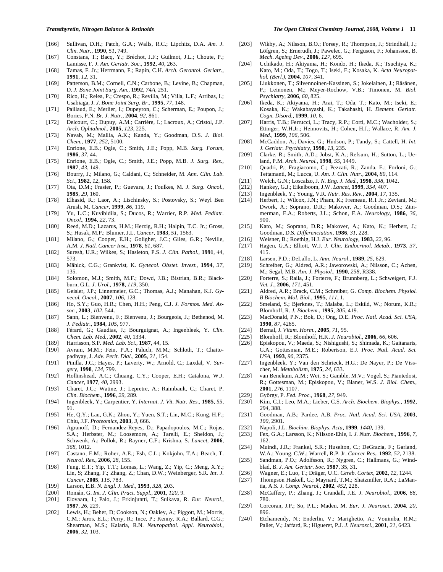- [166] Sullivan, D.H.; Patch, G.A.; Walls, R.C.; Lipchitz, D.A. *Am. J. Clin. Nutr.,* **1990**, *51*, 749.
- [167] Constans, T.; Bacq, Y.; Bréchot, J.F.; Guilmot, J.L.; Choute, P.; Lamisse, F. *J. Am. Geriatr. Soc.,* **1992**, *40*, 263.
- [168] Tamas, F. Jr.; Herrmann, F.; Rapin, C.H. *Arch. Gerontol. Geriatr.,*  **1991**, *12*, 31.
- [169] Patterson, B.M.; Cornell, C.N.; Carbone, B.; Levine, B.; Chapman, D. *J. Bone Joint Surg. Am.,* **1992**, *74A*, 251.
- [170] Rico, H.; Relea, P.; Crespo, R.; Revilla, M.; Villa, L.F.; Arribas, I.; Usabiaga, J. *J. Bone Joint Surg. Br.,* **1995**, *77*, 148.
- [171] Paillaud, E.; Merlier, I.; Dupeyron, C.; Scherman, E.; Poupon, J.; Bories, P.N. *Br. J. Nutr.,* **2004**, *92*, 861.
- [172] Delcourt, C.; Dupuy, A.M.; Carrière, I.; Lacroux, A.; Cristol, J.P. *Arch. Ophtalmol.,* **2005**, *123*, 225.
- [173] Navab, M.; Mallia, A.K.; Kanda, Y.; Goodman, D.S. *J. Biol. Chem.,* **1977**, *252*, 5100.
- [174] Enrione, E.B.; Ogle, C.; Smith, J.E.; Popp, M.B. *Surg. Forum,* **1986**, *37*, 44.
- [175] Enrione, E.B.; Ogle, C.; Smith, J.E.; Popp, M.B. *J. Surg. Res.,*  **1987**, *43*, 149.
- [176] Bourry, J.; Milano, G.; Caldani, C.; Schneider, M. *Ann. Clin. Lab. Sci.,* **1982**, *12*, 158.
- [177] Ota, D.M.; Frasier, P.; Guevara, J.; Foulkes, M. *J. Surg. Oncol.,*  **1985**, *29*, 160.
- [178] Elhasid, R.; Laor, A.; Lischinsky, S.; Postovsky, S.; Weyl Ben Arush, M. *Cancer,* **1999**, *86*, 119.
- [179] Yu, L.C.; Kuvibidila, S.; Ducos, R.; Warrier, R.P. *Med. Pediatr. Oncol.,* **1994**, *22*, 73.
- [180] Reed, M.D.; Lazarus, H.M.; Herzig, R.H.; Halpin, T.C. Jr.; Gross, S.; Husak, M.P.; Blumer, J.L. *Cancer*, **1983**, *51*, 1563.
- [181] Milano, G.; Cooper, E.H.; Goligher, J.C.; Giles, G.R.; Neville, A.M. *J. Natl. Cancer Inst.,* **1978**, *61*, 687.
- [182] Suresh, U.R.; Wilkes, S.; Hasleton, P.S. *J. Clin. Pathol.,* **1991**, *44*, 573.
- [183] Mählck, C.G.; Grankvist, K. *Gynecol. Obstet. Invest.,* **1994**, *37*, 135.
- [184] Solomon, M.J.; Smith, M.F.; Dowd, J.B.; Bistrian, B.R.; Blackburn, G.L. *J. Urol.,* **1978**, *119*, 350.
- [185] Geisler, J.P.; Linnemeier, G.C.; Thomas, A.J.; Manahan, K.J. *Gynecol. Oncol.,* **2007**, *106*, 128.
- [186] Ho, S.Y.; Guo, H.R.; Chen, H.H.; Peng, C.J. *J. Formos. Med. Assoc.,* **2003**, *102*, 544.
- [187] Sann, L.; Bienvenu, F.; Bienvenu, J.; Bourgeois, J.; Bethenod, M. *J. Pediatr.,* **1984**, *105*, 977.
- [188] Férard, G.; Gaudias, J.; Bourguignat, A.; Ingenbleek, Y. *Clin. Chem. Lab. Med.,* **2002**, *40*, 1334.
- [189] Harrisson, S.P. *Med. Lab. Sci.,* **1987**, *44*, 15.
- [190] Avram, M.M.; Fein, P.A.; Paluch, M.M.; Schloth, T.; Chattopadhyay, J. *Adv. Perit. Dial.,* **2005**, *21*, 154.
- [191] Pinilla, J.C.; Hayes, P.; Laverty, W.; Arnold, C.; Laxdal, V. *Surgery*, **1998**, *124*, 799.
- [192] Hollinshead, A.C.; Chuang, C.Y.; Cooper, E.H.; Catalona, W.J. *Cancer,* **1977**, *40*, 2993.
- [193] Charet, J.C.; Watine, J.; Lepretre, A.; Raimbault, C.; Charet, P. *Clin. Biochem.,* **1996**, *29*, 289.
- [194] Ingenbleek, Y.; Carpentier, Y. *Internat. J. Vit. Nutr. Res.,* **1985**, *55*, 91.
- [195] He, Q.Y.; Lau, G.K.; Zhou, Y.; Yuen, S.T.; Lin, M.C.; Kung, H.F.; Chiu, J.F. *Proteomics,* **2003**, *3,* 666.
- [196] Agranoff, D.; Fernandez-Reyes, D.; Papadopoulos, M.C.; Rojas, S.A.; Herbster, M.; Loosemore, A.; Tarelli, E.; Sheldon, J.; Schwenk, A.; Pollok, R.; Rayner, C.F.; Krishna, S. *Lancet,* **2006**, *368*, 1012.
- [197] Castano, E.M.; Roher, A.E.; Esh, C.L.; Kokjohn, T.A.; Beach, T. *Neurol. Res.,* **2006**, *28*, 155.
- [198] Fung, E.T.; Yip, T.T.; Lomas, L.; Wang, Z.; Yip, C.; Meng, X.Y.; Lin, S; Zhang, F.; Zhang, Z.; Chan, D.W.; Weinberger, S.R. *Int. J. Cancer*, **2005**, *115*, 783.
- [199] Larson, E.B. *N. Engl. J. Med.,* **1993**, *328*, 203.
- [200] Román, G. *Int. J. Clin. Pract. Suppl*., **2001**, *120*, 9.
- [201] Elovaara, I.; Palo, J.; Erkinjuntti, T.; Sulkava, R. *Eur. Neurol*., **1987**, *26*, 229.
- [202] Lewis, H.; Beher, D; Cookson, N.; Oakley, A.; Piggott, M.; Morris, C.M.; Jaros, E.L.; Perry, R.; Ince, P.; Kenny, R.A.; Ballard, C.G.; Shearman, M.S.; Kalaria, R.N. *Neuropathol. Appl. Neurobiol.,*  **2006**, *32*, 103.
- [203] Wikby, A.; Nilsson, B.O.; Forsey, R.; Thompson, J.; Strindhall, J.; Löfgren, S.; Ernerudh, J.; Pawelec, G.; Ferguson, F.; Johansson, B. *Mech. Ageing Dev.,* **2006**, *127*, 695.
- [204] Uchikado, H.; Akiyama, H.; Kondo, H.; Ikeda, K.; Tsuchiya, K.; Kato, M.; Oda, T.; Togo, T.; Iseki, E.; Kosaka, K. *Acta Neuropathol. (Berl.)*, **2004**, *107*, 341.
- [205] Liukkonen, T.; Silvennoinen-Kassinen, S.; Jokelainen, J.; Räsänen, P.; Leinonen, M.; Meyer-Rochow, V.B.; Timonen, M. *Biol. Psychiatry,* **2006**, *60*, 825.
- [206] Ikeda, K.; Akiyama, H.; Arai, T.; Oda, T.; Kato, M.; Iseki, E.; Kosaka, K.; Wakabayashi, K.; Takahashi, H. *Dement. Geriatr. Cogn. Disord.,* **1999**, *10*, 6.
- [207] Harris, T.B.; Ferrucci, L.; Tracy, R.P.; Corti, M.C.; Wacholder, S.; Ettinger, W.H.Jr.; Heimovitz, H.; Cohen, H.J.; Wallace, R. *Am. J. Med*., **1999**, *106*, 506.
- [208] McCaddon, A.; Davies, G.; Hudson, P.; Tandy, S.; Cattell, H. *Int. J. Geriatr. Psychiatry,* **1998**, *13*, 235.
- [209] Clarke, R.; Smith, A.D.; Jobst, K.A.; Refsum, H.; Sutton, L.; Ueland, P.M. *Arch. Neurol.,* **1998**, *55*, 1449.
- [210] Quadri, P.; Fragiacomo, C.; Pezzati, R.; Zanda, E.; Forloni, G.; Tettamanti, M.; Lucca, U. *Am. J. Clin. Nutr.,* **2004**, *80*, 114.
- [211] Welch, G.N.; Loscalzo, J. *N. Eng. J. Med.,* **1998**, *338*, 1042.
- [212] Hankey, G.J.; Eikelboom, J.W. *Lancet,* **1999**, *354*, 407.
- [213] Ingenbleek, Y.; Young, V.R. *Nutr. Res. Rev.,* **2004**, *17*, 135.
- [214] Herbert, J.; Wilcox, J.N.; Pham, K.; Fremeau, R.T.Jr.; Zeviani, M.; Dwork, A.; Soprano, D.R.; Makover, A.; Goodman, D.S.; Zimmerman, E.A.; Roberts, J.L.; Schon, E.A. *Neurology,* **1986**, *36*, 900.
- [215] Kato, M.; Soprano, D.R.; Makover, A.; Kato, K.; Herbert, J.; Goodman, D.S. *Differenciation*, **1986**, *31*, 228.
- [216] Weisner, B.; Roethig, H.J. *Eur. Neurology*, **1983**, *22*, 96.
- [217] Hagen, G.A.; Elliott, W.J. *J. Clin. Endocrinol. Metab.,* **1973**, *37*, 415.
- [218] Larsen, P.D.; DeLallo, L. *Ann. Neurol*., **1989**, *25*, 629.
- [219] Schreiber, G.; Aldred, A.R.; Jaworowski, A.; Nilsson, C.; Achen, M.; Segal, M.B. *Am. J. Physiol.,* **1990**, *258*, R338.
- [220] Forterre, S.; Raila, J.; Forterre, F.; Brunnberg, L.; Schweigert, F.J. *Vet. J.,* **2006**, *171*, 451.
- [221] Aldred, A.R.; Brack, C.M.; Schreiber, G. *Comp. Biochem. Physiol. B Biochem. Mol*. *Biol.,* **1995**, *111*, 1.
- [222] Smeland, S.; Bjerknes, T.; Malaba, L.; Eskild, W.; Norum, K.R.; Blomhoff, R. *J. Biochem.,* **1995**, *305*, 419.
- [223] MacDonald, P.N.; Bok, D.; Ong, D.E. *Proc. Natl. Acad. Sci. USA,*  **1990**, *87*, 4265.
- [224] Bernal, J. *Vitam. Horm.,* **2005**, *71*, 95.
- [225] Blomhoff, R.; Blomhoff, H.K. *J. Neurobiol.,* **2006**, *66*, 606.
- [226] Episkopou, V.; Maeda, S.; Nishigushi, S.; Shimada, K.; Gaitanaris, G.A.; Gottesman, M.E.; Robertson, E.J. *Proc. Natl. Acad. Sci. USA*, **1993**, *90*, 2375.
- [227] Ingenbleek, Y.; Van den Schrieck, H.G.; De Nayer, P.; De Visscher, M. *Metabolism,* **1975**, *24*, 633.
- [228] van Benekum, A.M.; Wei, S.; Gamble, M.V.; Vogel, S.; Piantedosi, R.; Gottesman, M.; Episkopou, V.; Blaner, W.S. *J. Biol. Chem.,*  **2001**, *276*, 1107.
- [229] György, P. *Fed. Proc.,* **1968**, *27*, 949.
- [230] Kim, C.I.; Leo, M.A.; Lieber, C.S. *Arch. Biochem. Biophys.,* **1992**, *294*, 388.
- [231] Goodman, A.B.; Pardee, A.B. *Proc. Natl. Acad. Sci. USA,* **2003**, *100*, 2901.
- [232] Napoli, J.L. *Biochim. Biophys. Acta,* **1999**, *1440*, 139.
- [233] Fex, G.A.; Larsson, K.; Nilsson-Ehle, I. *J. Nutr. Biochem.,* **1996**, *7*, 162.
- [234] Muindi, J.R.; Frankel, S.R.; Huselton, C.; DeGrazia, F.; Garland, W.A.; Young, C.W.; Warrell, R.P. Jr. *Cancer Res.,* **1992**, *52*, 2138.
- [235] Sandman, P.O.; Adolfsson, R.; Nygren, C.; Hallmans, G.; Windblad, B. *J. Am. Geriatr. Soc*. **1987**, 35, 31.
- [236] Wagner, E.; Luo, T.; Dräger, U.C. *Cereb. Cortex,* **2002**, *12*, 1244.
- [237] Thompson Haskell, G.; Maynard, T.M.; Shatzmiller, R.A.; LaMantia, A.S. *J. Comp. Neurol.,* **2002**, *452*, 228.
- [238] McCaffery, P.; Zhang, J.; Crandall, J.E. *J. Neurobiol.,* **2006**, *66*, 780.
- [239] Corcoran, J.P.; So, P.L.; Maden, M. *Eur. J. Neurosci.,* **2004**, *20*, 896.
- [240] Etchamendy, N.; Enderlin, V.; Marighetto, A.; Vouimba, R.M.; Pallet, V.; Jaffard, R.; Higueret, P.J. *J. Neurosci.,* **2001**, *21*, 6423.